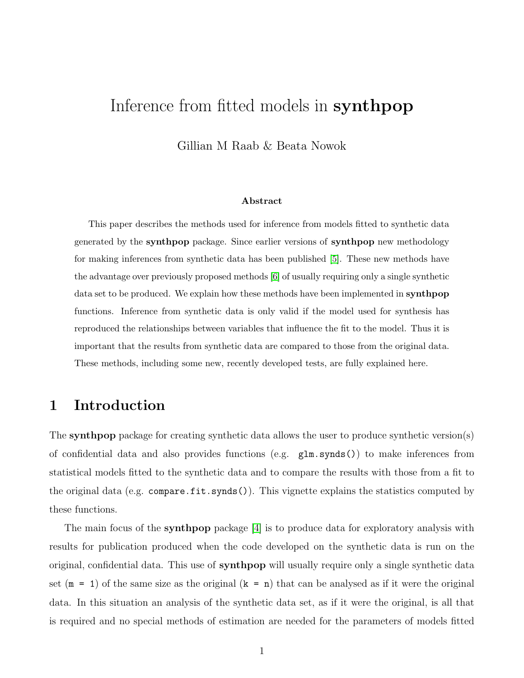# Inference from fitted models in synthpop

Gillian M Raab & Beata Nowok

#### Abstract

This paper describes the methods used for inference from models fitted to synthetic data generated by the synthpop package. Since earlier versions of synthpop new methodology for making inferences from synthetic data has been published [\[5\]](#page-26-0). These new methods have the advantage over previously proposed methods [\[6\]](#page-26-1) of usually requiring only a single synthetic data set to be produced. We explain how these methods have been implemented in **synthpop** functions. Inference from synthetic data is only valid if the model used for synthesis has reproduced the relationships between variables that influence the fit to the model. Thus it is important that the results from synthetic data are compared to those from the original data. These methods, including some new, recently developed tests, are fully explained here.

# 1 Introduction

The synthpop package for creating synthetic data allows the user to produce synthetic version(s) of confidential data and also provides functions (e.g. glm.synds()) to make inferences from statistical models fitted to the synthetic data and to compare the results with those from a fit to the original data (e.g. compare.fit.synds()). This vignette explains the statistics computed by these functions.

The main focus of the synthpop package [\[4\]](#page-26-2) is to produce data for exploratory analysis with results for publication produced when the code developed on the synthetic data is run on the original, confidential data. This use of synthpop will usually require only a single synthetic data set  $(m = 1)$  of the same size as the original  $(k = n)$  that can be analysed as if it were the original data. In this situation an analysis of the synthetic data set, as if it were the original, is all that is required and no special methods of estimation are needed for the parameters of models fitted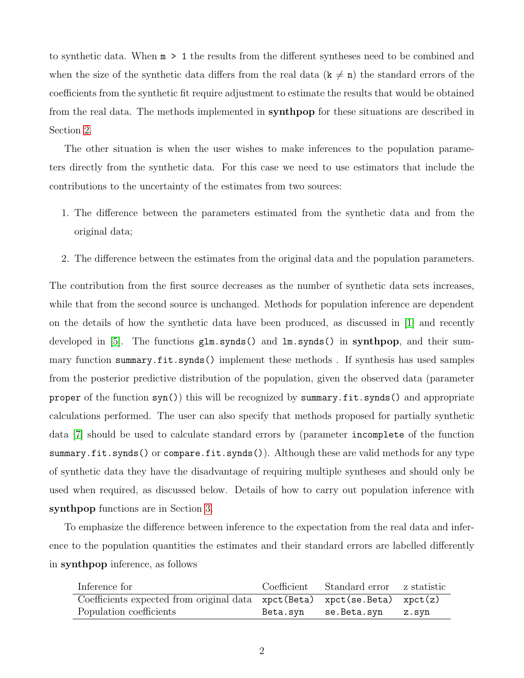to synthetic data. When m > 1 the results from the different syntheses need to be combined and when the size of the synthetic data differs from the real data  $(\mathbf{k} \neq \mathbf{n})$  the standard errors of the coefficients from the synthetic fit require adjustment to estimate the results that would be obtained from the real data. The methods implemented in synthpop for these situations are described in Section [2.](#page-3-0)

The other situation is when the user wishes to make inferences to the population parameters directly from the synthetic data. For this case we need to use estimators that include the contributions to the uncertainty of the estimates from two sources:

- 1. The difference between the parameters estimated from the synthetic data and from the original data;
- 2. The difference between the estimates from the original data and the population parameters.

The contribution from the first source decreases as the number of synthetic data sets increases, while that from the second source is unchanged. Methods for population inference are dependent on the details of how the synthetic data have been produced, as discussed in [\[1\]](#page-26-3) and recently developed in [\[5\]](#page-26-0). The functions glm.synds() and lm.synds() in synthpop, and their summary function summary.fit.synds() implement these methods . If synthesis has used samples from the posterior predictive distribution of the population, given the observed data (parameter proper of the function syn()) this will be recognized by summary.fit.synds() and appropriate calculations performed. The user can also specify that methods proposed for partially synthetic data [\[7\]](#page-27-0) should be used to calculate standard errors by (parameter incomplete of the function summary.fit.synds() or compare.fit.synds()). Although these are valid methods for any type of synthetic data they have the disadvantage of requiring multiple syntheses and should only be used when required, as discussed below. Details of how to carry out population inference with synthpop functions are in Section [3.](#page-8-0)

To emphasize the difference between inference to the expectation from the real data and inference to the population quantities the estimates and their standard errors are labelled differently in synthpop inference, as follows

| Inference for                                                                 | Coefficient Standard error z statistic |  |
|-------------------------------------------------------------------------------|----------------------------------------|--|
| Coefficients expected from original data xpct (Beta) xpct (se. Beta) xpct (z) |                                        |  |
| Population coefficients                                                       | Beta.syn se.Beta.syn z.syn             |  |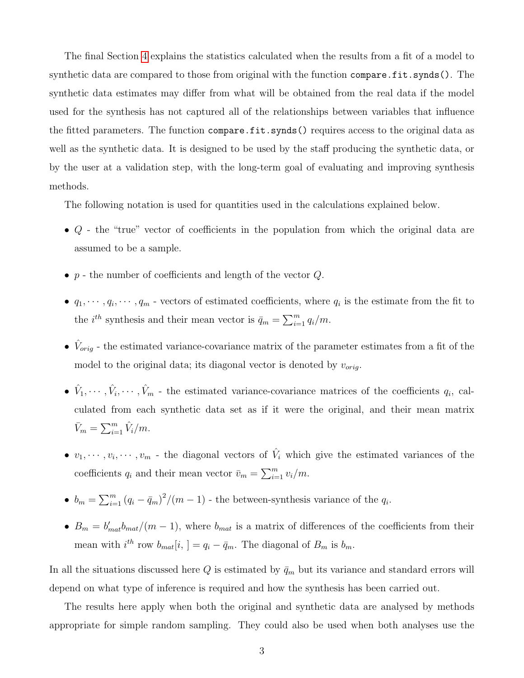The final Section [4](#page-14-0) explains the statistics calculated when the results from a fit of a model to synthetic data are compared to those from original with the function compare.fit.synds(). The synthetic data estimates may differ from what will be obtained from the real data if the model used for the synthesis has not captured all of the relationships between variables that influence the fitted parameters. The function compare.fit.synds() requires access to the original data as well as the synthetic data. It is designed to be used by the staff producing the synthetic data, or by the user at a validation step, with the long-term goal of evaluating and improving synthesis methods.

The following notation is used for quantities used in the calculations explained below.

- Q the "true" vector of coefficients in the population from which the original data are assumed to be a sample.
- $p$  the number of coefficients and length of the vector  $Q$ .
- $q_1, \dots, q_i, \dots, q_m$  vectors of estimated coefficients, where  $q_i$  is the estimate from the fit to the *i*<sup>th</sup> synthesis and their mean vector is  $\bar{q}_m = \sum_{i=1}^m q_i/m$ .
- $\hat{V}_{orig}$  the estimated variance-covariance matrix of the parameter estimates from a fit of the model to the original data; its diagonal vector is denoted by  $v_{orig}$ .
- $\hat{V}_1, \dots, \hat{V}_i, \dots, \hat{V}_m$  the estimated variance-covariance matrices of the coefficients  $q_i$ , calculated from each synthetic data set as if it were the original, and their mean matrix  $\bar{V}_m = \sum_{i=1}^m \hat{V}_i/m.$
- $v_1, \dots, v_i, \dots, v_m$  the diagonal vectors of  $\hat{V}_i$  which give the estimated variances of the coefficients  $q_i$  and their mean vector  $\bar{v}_m = \sum_{i=1}^m v_i/m$ .
- $b_m = \sum_{i=1}^m (q_i \bar{q}_m)^2 / (m-1)$  the between-synthesis variance of the  $q_i$ .
- $B_m = b'_{mat}b_{mat}/(m-1)$ , where  $b_{mat}$  is a matrix of differences of the coefficients from their mean with  $i^{th}$  row  $b_{mat}[i,] = q_i - \bar{q}_m$ . The diagonal of  $B_m$  is  $b_m$ .

In all the situations discussed here  $Q$  is estimated by  $\bar{q}_m$  but its variance and standard errors will depend on what type of inference is required and how the synthesis has been carried out.

The results here apply when both the original and synthetic data are analysed by methods appropriate for simple random sampling. They could also be used when both analyses use the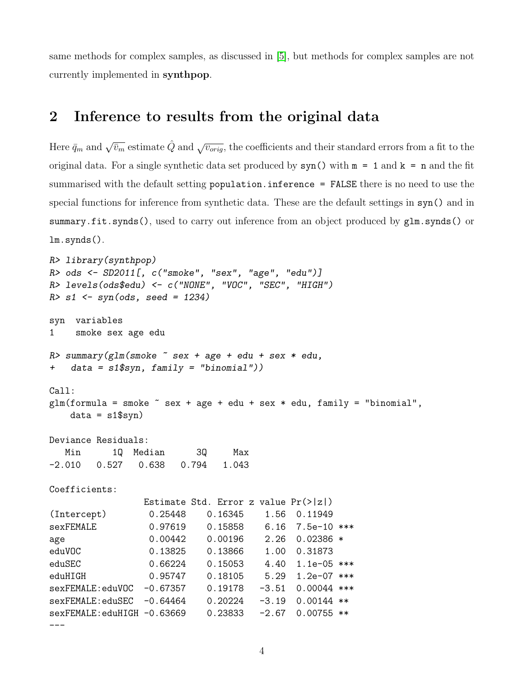same methods for complex samples, as discussed in [\[5\]](#page-26-0), but methods for complex samples are not currently implemented in synthpop.

## <span id="page-3-0"></span>2 Inference to results from the original data

Here  $\bar{q}_m$  and  $\sqrt{\bar{v}_m}$  estimate  $\hat{Q}$  and  $\sqrt{v_{orig}}$ , the coefficients and their standard errors from a fit to the original data. For a single synthetic data set produced by  $syn()$  with  $m = 1$  and  $k = n$  and the fit summarised with the default setting population.inference = FALSE there is no need to use the special functions for inference from synthetic data. These are the default settings in syn() and in summary.fit.synds(), used to carry out inference from an object produced by glm.synds() or lm.synds().

```
R> library(synthpop)
R> ods <- SD2011[, c("smoke", "sex", "age", "edu")]
R> levels(ods$edu) <- c("NONE", "VOC", "SEC", "HIGH")
R > s1 <- syn(ods, seed = 1234)
syn variables
1 smoke sex age edu
R> summary(glm(smoke \tilde{ } sex + age + edu + sex * edu,
+ data = s1$syn, family = "binomial"))
Call:
glm(formula = smoke ~ sex + age + edu + sex * edu, family = "binomial",data = s1$syn)
Deviance Residuals:
  Min 1Q Median 3Q Max
-2.010 0.527 0.638 0.794 1.043
Coefficients:
               Estimate Std. Error z value Pr(>|z|)
(Intercept) 0.25448 0.16345 1.56 0.11949
sexFEMALE 0.97619 0.15858 6.16 7.5e-10 ***
age 0.00442 0.00196 2.26 0.02386 *
eduVOC 0.13825 0.13866 1.00 0.31873
eduSEC 0.66224 0.15053 4.40 1.1e-05 ***
eduHIGH 0.95747 0.18105 5.29 1.2e-07 ***
sexFEMALE:eduVOC -0.67357  0.19178 -3.51  0.00044 ***
sexFEMALE:eduSEC -0.64464 0.20224 -3.19 0.00144 **
sexFEMALE:eduHIGH -0.63669 0.23833 -2.67 0.00755 **
---
```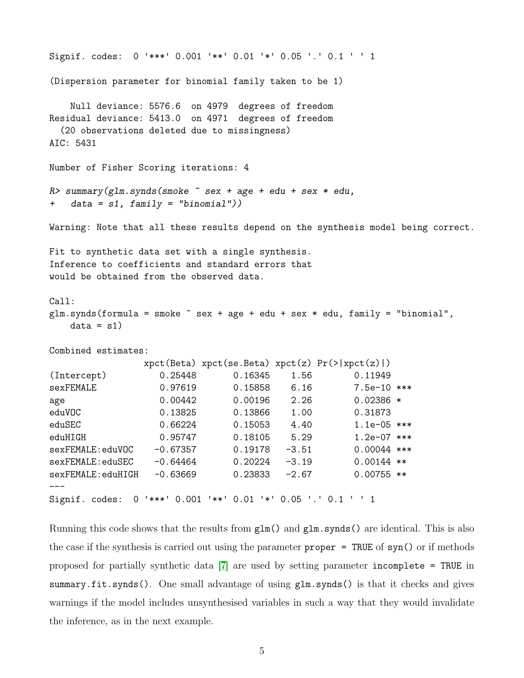```
Signif. codes: 0 '***' 0.001 '**' 0.01 '*' 0.05 '.' 0.1 ' ' 1
(Dispersion parameter for binomial family taken to be 1)
   Null deviance: 5576.6 on 4979 degrees of freedom
Residual deviance: 5413.0 on 4971 degrees of freedom
 (20 observations deleted due to missingness)
AIC: 5431
Number of Fisher Scoring iterations: 4
R> summary(glm.synds(smoke \tilde{ } sex + age + edu + sex * edu,
+ data = s1, family = "binomial"))
Warning: Note that all these results depend on the synthesis model being correct.
Fit to synthetic data set with a single synthesis.
Inference to coefficients and standard errors that
would be obtained from the observed data.
Call:
glm.synds(formula = smoke \texttt{smoke} + age + edu + sex * edu, family = "binomial",data = s1)Combined estimates:
               xpt(Beta) xpt(se.Beta) xpt(z) Pr(>\vert xpt(z)\vert)(Intercept) 0.25448 0.16345 1.56 0.11949
sexFEMALE 0.97619 0.15858 6.16 7.5e-10 ***
age 0.00442 0.00196 2.26 0.02386 *
eduVOC 0.13825 0.13866 1.00 0.31873
eduSEC 0.66224 0.15053 4.40 1.1e-05 ***
eduHIGH 0.95747 0.18105 5.29 1.2e-07 ***
sexFEMALE:eduVOC -0.67357 0.19178 -3.51 0.00044 ***
sexFEMALE:eduSEC -0.64464 0.20224 -3.19 0.00144 **
sexFEMALE:eduHIGH -0.63669 0.23833 -2.67 0.00755 **
---
Signif. codes: 0 '***' 0.001 '**' 0.01 '*' 0.05 '.' 0.1 ' ' 1
```
Running this code shows that the results from  $g1m()$  and  $g1m.synds()$  are identical. This is also the case if the synthesis is carried out using the parameter  $proper = TRUE$  of  $syn()$  or if methods proposed for partially synthetic data [\[7\]](#page-27-0) are used by setting parameter incomplete = TRUE in summary.fit.synds(). One small advantage of using  $glm.synds()$  is that it checks and gives warnings if the model includes unsynthesised variables in such a way that they would invalidate the inference, as in the next example.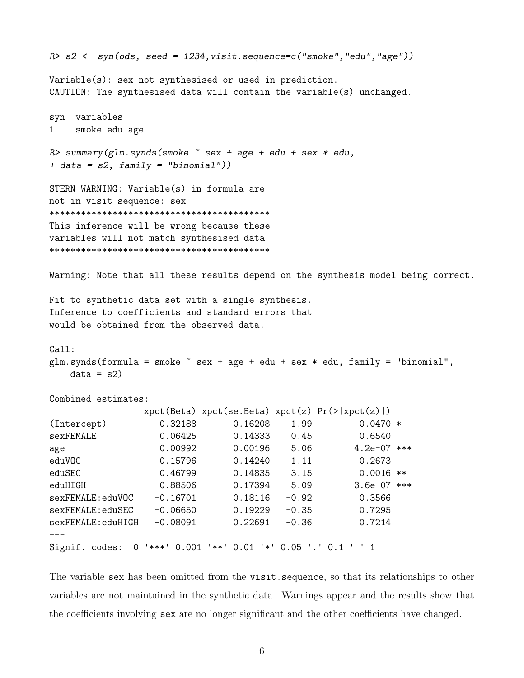```
R> s2 \leq sym(ods, seed = 1234, visit.\nsequence <math>c("smoke", "edu", "age"))</math>Variable(s): sex not synthesised or used in prediction.
CAUTION: The synthesised data will contain the variable(s) unchanged.
syn variables
1 smoke edu age
R> summary(glm.synds(smoke ~ sex + age + edu + sex * edu,
+ data = s2, family = "binomial"))
STERN WARNING: Variable(s) in formula are
not in visit sequence: sex
******************************************
This inference will be wrong because these
variables will not match synthesised data
******************************************
Warning: Note that all these results depend on the synthesis model being correct.
Fit to synthetic data set with a single synthesis.
Inference to coefficients and standard errors that
would be obtained from the observed data.
Call:
glm.synds(formula = smoke \texttt{`} sex + age + edu + sex * edu, family = "binomial",
   data = s2)Combined estimates:
               xpt(Beta) xpt(se.Beta) xpt(z) Pr(>\vert xpt(z)\vert)(Intercept) 0.32188 0.16208 1.99 0.0470 *
sexFEMALE 0.06425 0.14333 0.45 0.6540
age 0.00992 0.00196 5.06 4.2e-07 ***
eduVOC 0.15796 0.14240 1.11 0.2673
eduSEC 0.46799 0.14835 3.15 0.0016 **
eduHIGH 0.88506 0.17394 5.09 3.6e-07 ***
sexFEMALE:eduVOC -0.16701 0.18116 -0.92 0.3566
sexFEMALE:eduSEC -0.06650 0.19229 -0.35 0.7295
sexFEMALE:eduHIGH -0.08091 0.22691 -0.36 0.7214
---
Signif. codes: 0 '***' 0.001 '**' 0.01 '*' 0.05 '.' 0.1 ' ' 1
```
The variable sex has been omitted from the visit.sequence, so that its relationships to other variables are not maintained in the synthetic data. Warnings appear and the results show that the coefficients involving sex are no longer significant and the other coefficients have changed.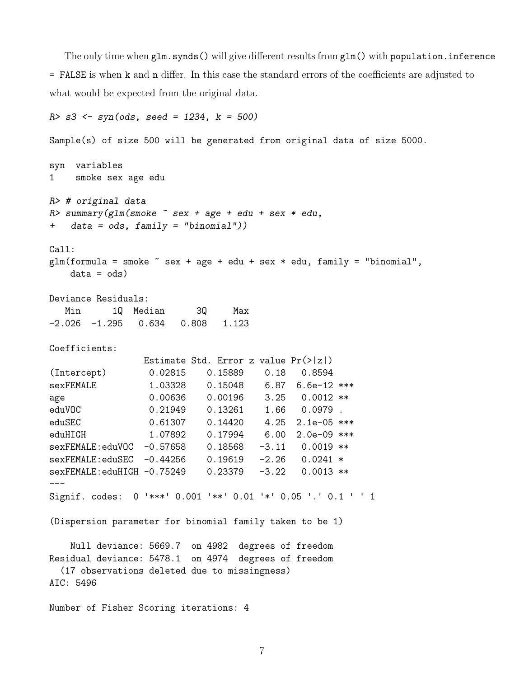The only time when glm.synds() will give different results from glm() with population.inference = FALSE is when k and n differ. In this case the standard errors of the coefficients are adjusted to what would be expected from the original data.

```
R > s3 <- syn(ods, seed = 1234, k = 500)
Sample(s) of size 500 will be generated from original data of size 5000.
syn variables
1 smoke sex age edu
R> # original data
R> summary(glm(smoke \tilde{ } sex + age + edu + sex * edu,
   data = ods, family = "binomial"))
Call:
glm(formula = smoke \tilde{s} sex + age + edu + sex * edu, family = "binomial",data = ods)
Deviance Residuals:
  Min 1Q Median 3Q Max
-2.026 -1.295 0.634 0.808 1.123
Coefficients:
                Estimate Std. Error z value Pr(>|z|)
(Intercept) 0.02815 0.15889 0.18 0.8594
sexFEMALE 1.03328 0.15048 6.87 6.6e-12 ***
age 0.00636 0.00196 3.25 0.0012 **
eduVOC 0.21949 0.13261 1.66 0.0979.
eduSEC 0.61307 0.14420 4.25 2.1e-05 ***
eduHIGH 1.07892 0.17994 6.00 2.0e-09 ***
sexFEMALE:eduVOC -0.57658 0.18568 -3.11 0.0019 **
sexFEMALE:eduSEC -0.44256 0.19619 -2.26 0.0241 *
sexFEMALE:eduHIGH -0.75249 0.23379 -3.22 0.0013 **
---Signif. codes: 0 '***' 0.001 '**' 0.01 '*' 0.05 '.' 0.1 ' ' 1
(Dispersion parameter for binomial family taken to be 1)
   Null deviance: 5669.7 on 4982 degrees of freedom
Residual deviance: 5478.1 on 4974 degrees of freedom
 (17 observations deleted due to missingness)
AIC: 5496
Number of Fisher Scoring iterations: 4
```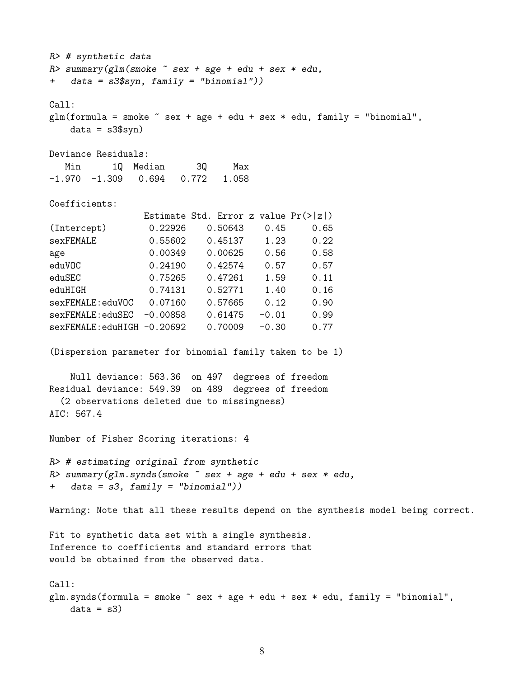```
R> # synthetic data
R> summary(glm(smoke \tilde{ } sex + age + edu + sex * edu,
+ data = s3$syn, family = "binomial"))
Call:
glm(formula = smoke \tilde{s} sex + age + edu + sex * edu, family = "binomial",data = s3$syn)Deviance Residuals:
  Min 1Q Median 3Q Max
-1.970 -1.309 0.694 0.772 1.058
Coefficients:
                Estimate Std. Error z value Pr(>|z|)
(Intercept) 0.22926 0.50643 0.45 0.65
sexFEMALE 0.55602 0.45137 1.23 0.22
age 0.00349 0.00625 0.56 0.58
eduVOC 0.24190 0.42574 0.57 0.57
eduSEC 0.75265 0.47261 1.59 0.11
eduHIGH 0.74131 0.52771 1.40 0.16
sexFEMALE:eduVOC 0.07160 0.57665 0.12 0.90
sexFEMALE:eduSEC -0.00858 0.61475 -0.01 0.99
sexFEMALE:eduHIGH -0.20692  0.70009  -0.30  0.77
(Dispersion parameter for binomial family taken to be 1)
   Null deviance: 563.36 on 497 degrees of freedom
Residual deviance: 549.39 on 489 degrees of freedom
  (2 observations deleted due to missingness)
AIC: 567.4
Number of Fisher Scoring iterations: 4
R> # estimating original from synthetic
R> summary(glm.synds(smoke ~ sex + age + edu + sex * edu,
+ data = s3, family = "binomial"))
Warning: Note that all these results depend on the synthesis model being correct.
Fit to synthetic data set with a single synthesis.
Inference to coefficients and standard errors that
would be obtained from the observed data.
Call:
glm.synds(formula = smoke <math>\sim sex + age + edu + sex * edu, family = "binomial",
   data = s3
```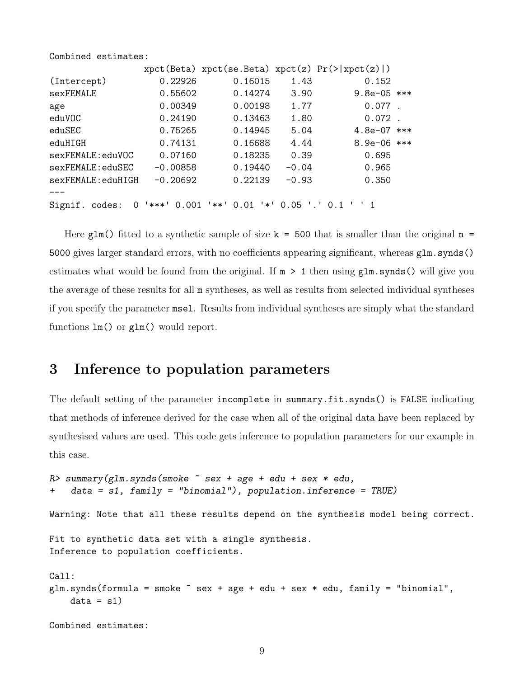Combined estimates:

|                     |                |                                           |                      | $xpect(Beta)$ $xpect(se.Beta)$ $xpect(z)$ $Pr(>\vert xpect(z) \vert)$ |  |
|---------------------|----------------|-------------------------------------------|----------------------|-----------------------------------------------------------------------|--|
| (Intercept)         | 0.22926        | 0.16015                                   | 1.43                 | 0.152                                                                 |  |
| sexFEMALE           | 0.55602        | 0.14274                                   | 3.90                 | 9.8e-05 ***                                                           |  |
| age                 | 0.00349        | 0.00198                                   | 1.77                 | $0.077$ .                                                             |  |
| eduVOC              | 0.24190        | 0.13463                                   | 1.80                 | $0.072$ .                                                             |  |
| eduSEC              | 0.75265        | 0.14945                                   | 5.04                 | $4.8e-07$ ***                                                         |  |
| eduHIGH             | 0.74131        | 0.16688                                   | 4.44                 | 8.9e-06 ***                                                           |  |
| sexFEMALE:eduVOC    | 0.07160        | 0.18235                                   | 0.39                 | 0.695                                                                 |  |
| sexFEMALE:eduSEC    | $-0.00858$     | 0.19440                                   | $-0.04$              | 0.965                                                                 |  |
| sexFEMALE:eduHIGH   | $-0.20692$     | 0.22139                                   | $-0.93$              | 0.350                                                                 |  |
|                     |                |                                           |                      |                                                                       |  |
| Signif. codes:<br>0 | ╹⋇⋇⋇╹<br>0.001 | '**'<br>0.01<br>$^{\prime}$ * $^{\prime}$ | $0.05$ $\cdot$ $0.1$ |                                                                       |  |

Here glm() fitted to a synthetic sample of size  $k = 500$  that is smaller than the original  $n =$ 5000 gives larger standard errors, with no coefficients appearing significant, whereas  $g1m$  synds() estimates what would be found from the original. If  $m > 1$  then using  $g \ln s$ , synds() will give you the average of these results for all m syntheses, as well as results from selected individual syntheses if you specify the parameter msel. Results from individual syntheses are simply what the standard functions lm() or glm() would report.

# <span id="page-8-0"></span>3 Inference to population parameters

The default setting of the parameter incomplete in summary.fit.synds() is FALSE indicating that methods of inference derived for the case when all of the original data have been replaced by synthesised values are used. This code gets inference to population parameters for our example in this case.

```
R> summary(glm.synds(smoke ~ sex + age + edu + sex * edu,
+ data = s1, family = "binomial"), population.inference = TRUE)
Warning: Note that all these results depend on the synthesis model being correct.
Fit to synthetic data set with a single synthesis.
Inference to population coefficients.
Call:
glm.synds(formula = smoke \texttt{`} sex + age + edu + sex * edu, family = "binomial",data = s1)
```

```
Combined estimates:
```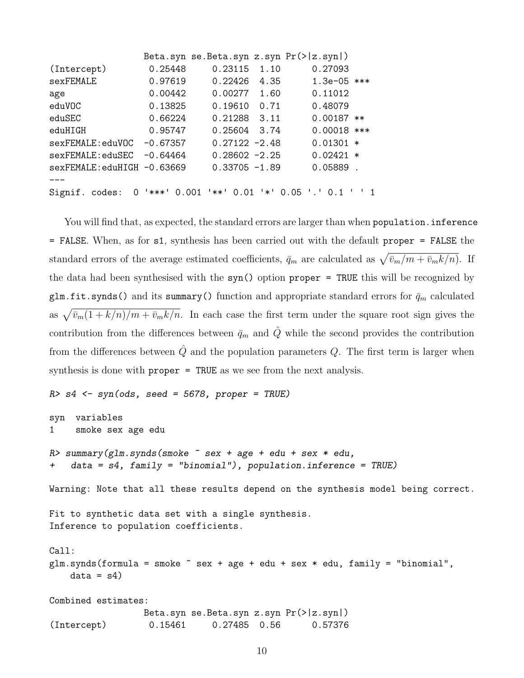|                             |               |                  |      | Beta.syn se.Beta.syn $z \cdot syn Pr(>  z \cdot syn )$ |  |
|-----------------------------|---------------|------------------|------|--------------------------------------------------------|--|
| (Intercept)                 | 0.25448       | 0.23115          | 1.10 | 0.27093                                                |  |
| sexFEMALE                   | 0.97619       | 0.22426          | 4.35 | $1.3e-05$ ***                                          |  |
| age                         | 0.00442       | 0.00277          | 1.60 | 0.11012                                                |  |
| eduVOC                      | 0.13825       | 0.19610          | 0.71 | 0.48079                                                |  |
| eduSEC                      | 0.66224       | 0.21288          | 3.11 | $0.00187$ **                                           |  |
| eduHIGH                     | 0.95747       | 0.25604          | 3.74 | $0.00018$ ***                                          |  |
| sexFEMALE:eduVOC            | $-0.67357$    | $0.27122 - 2.48$ |      | $0.01301 *$                                            |  |
| sexFEMALE:eduSEC            | $-0.64464$    | $0.28602 -2.25$  |      | $0.02421$ *                                            |  |
| sexFEMALE: eduHIGH -0.63669 |               | $0.33705 -1.89$  |      | $0.05889$ .                                            |  |
|                             |               |                  |      |                                                        |  |
| Signif. codes:<br>$\Omega$  | $'***'$ 0.001 | $'**'0.01$       |      | $'$ *' 0.05 '.' 0.1                                    |  |

You will find that, as expected, the standard errors are larger than when population. inference = FALSE. When, as for s1, synthesis has been carried out with the default proper = FALSE the standard errors of the average estimated coefficients,  $\bar{q}_m$  are calculated as  $\sqrt{\bar{v}_m/m + \bar{v}_m k/n}$ . If the data had been synthesised with the syn() option proper = TRUE this will be recognized by glm.fit.synds() and its summary() function and appropriate standard errors for  $\bar{q}_m$  calculated as  $\sqrt{\bar{v}_m(1 + k/n)/m + \bar{v}_mk/n}$ . In each case the first term under the square root sign gives the contribution from the differences between  $\bar{q}_m$  and  $\hat{Q}$  while the second provides the contribution from the differences between  $\hat{Q}$  and the population parameters  $Q$ . The first term is larger when synthesis is done with **proper** = TRUE as we see from the next analysis.

 $R > s4 \leq sym(ods, seed = 5678, proper = TRUE)$ syn variables 1 smoke sex age edu R> summary(glm.synds(smoke ~ sex + age + edu + sex \* edu,  $data = s4$ ,  $family = "binomial")$ , population.inference = TRUE) Warning: Note that all these results depend on the synthesis model being correct. Fit to synthetic data set with a single synthesis. Inference to population coefficients. Call:  $glm.synds(formula = smoke \texttt{`}$  sex + age + edu + sex \* edu, family = "binomial",  $data = s4)$ Combined estimates: Beta.syn se.Beta.syn z.syn Pr(>|z.syn|) (Intercept) 0.15461 0.27485 0.56 0.57376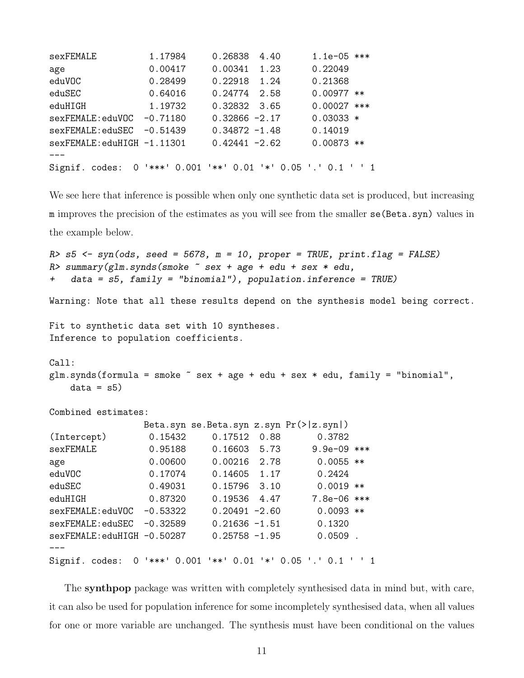| sexFEMALE                    | 1.17984    | 0.26838<br>4.40                                | $1.1e-05$ *** |
|------------------------------|------------|------------------------------------------------|---------------|
| age                          | 0.00417    | 0.00341<br>1.23                                | 0.22049       |
| eduVOC                       | 0.28499    | 0.22918<br>1.24                                | 0.21368       |
| eduSEC                       | 0.64016    | 0.24774<br>2.58                                | $0.00977$ **  |
| eduHIGH                      | 1.19732    | 0.32832 3.65                                   | $0.00027$ *** |
| sexFEMALE:eduVOC             | $-0.71180$ | $0.32866 - 2.17$                               | $0.03033 *$   |
| sexFEMALE:eduSEC             | $-0.51439$ | $0.34872 - 1.48$                               | 0.14019       |
| $sexFEMALE:eduHIGH -1.11301$ |            | $0.42441 - 2.62$                               | $0.00873$ **  |
|                              |            |                                                |               |
| Signif. codes:               |            | 0 '***' 0.001 '**' 0.01 '*' 0.05 '.' 0.1 ' ' 1 |               |

We see here that inference is possible when only one synthetic data set is produced, but increasing m improves the precision of the estimates as you will see from the smaller se(Beta.syn) values in the example below.

```
R> s5 <- syn(ods, seed = 5678, m = 10, proper = TRUE, print.flag = FALSE)
R> summary(glm.synds(smoke \tilde{ } sex + age + edu + sex * edu,
   data = s5, family = "binomial"), population.inference = TRUE)
Warning: Note that all these results depend on the synthesis model being correct.
Fit to synthetic data set with 10 syntheses.
Inference to population coefficients.
Call:
glm.synds(formula = smoke \texttt{`} sex + age + edu + sex * edu, family = "binomial",data = s5Combined estimates:
               Beta.syn se.Beta.syn z.syn Pr(>|z.syn|)
(Intercept) 0.15432 0.17512 0.88 0.3782
sexFEMALE 0.95188 0.16603 5.73 9.9e-09 ***
age 0.00600 0.00216 2.78 0.0055 **
eduVOC 0.17074 0.14605 1.17 0.2424
eduSEC 0.49031 0.15796 3.10 0.0019 **
eduHIGH 0.87320 0.19536 4.47 7.8e-06 ***
sexFEMALE:eduVOC -0.53322 0.20491 -2.60 0.0093 **
sexFEMALE:eduSEC -0.32589 0.21636 -1.51 0.1320
sexFEMALE:eduHIGH -0.50287 0.25758 -1.95 0.0509 .
---
Signif. codes: 0 '***' 0.001 '**' 0.01 '*' 0.05 '.' 0.1 ' ' 1
```
The synthpop package was written with completely synthesised data in mind but, with care, it can also be used for population inference for some incompletely synthesised data, when all values for one or more variable are unchanged. The synthesis must have been conditional on the values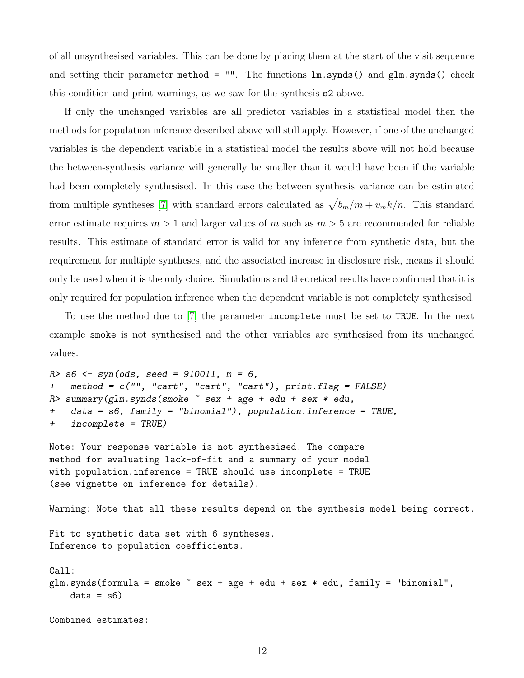of all unsynthesised variables. This can be done by placing them at the start of the visit sequence and setting their parameter method =  $"$ . The functions  $lm.synds()$  and  $glm.synds()$  check this condition and print warnings, as we saw for the synthesis s2 above.

If only the unchanged variables are all predictor variables in a statistical model then the methods for population inference described above will still apply. However, if one of the unchanged variables is the dependent variable in a statistical model the results above will not hold because the between-synthesis variance will generally be smaller than it would have been if the variable had been completely synthesised. In this case the between synthesis variance can be estimated from multiple syntheses [\[7\]](#page-27-0) with standard errors calculated as  $\sqrt{b_m/m + \bar{v}_m k/n}$ . This standard error estimate requires  $m > 1$  and larger values of m such as  $m > 5$  are recommended for reliable results. This estimate of standard error is valid for any inference from synthetic data, but the requirement for multiple syntheses, and the associated increase in disclosure risk, means it should only be used when it is the only choice. Simulations and theoretical results have confirmed that it is only required for population inference when the dependent variable is not completely synthesised.

To use the method due to [\[7\]](#page-27-0) the parameter incomplete must be set to TRUE. In the next example smoke is not synthesised and the other variables are synthesised from its unchanged values.

```
R > s6 <- syn(ods, seed = 910011, m = 6,
+ method = c("", "cart", "cart", "cart"), print.flag = FALSE)
R> summary(glm.synds(smoke \tilde{ } sex + age + edu + sex * edu,
+ data = s6, family = "binomial"), population.inference = TRUE,
+ incomplete = TRUE)
```

```
Note: Your response variable is not synthesised. The compare
method for evaluating lack-of-fit and a summary of your model
with population.inference = TRUE should use incomplete = TRUE
(see vignette on inference for details).
```
Warning: Note that all these results depend on the synthesis model being correct.

Fit to synthetic data set with 6 syntheses. Inference to population coefficients.

Call:  $glm.synds(formula = smoke \texttt{`} sex + age + edu + sex * edu, family = "binomial",$  $data = s6$ 

Combined estimates: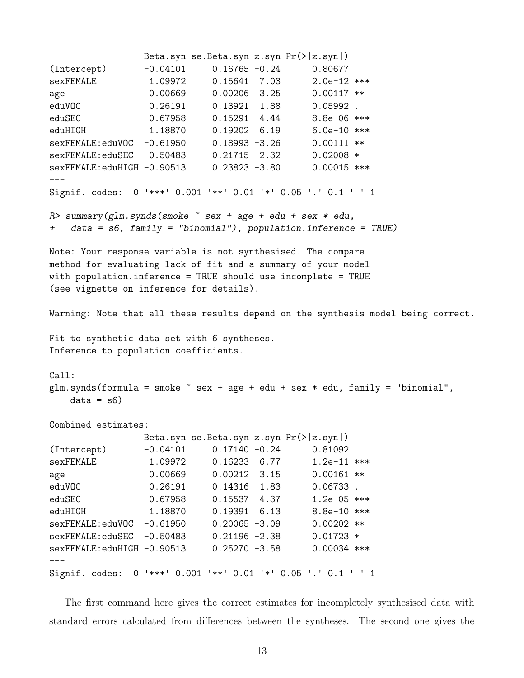```
Beta.syn se.Beta.syn z.syn Pr(>|z.syn|)
(Intercept) -0.04101 0.16765 -0.24 0.80677
sexFEMALE 1.09972 0.15641 7.03 2.0e-12 ***
age 0.00669 0.00206 3.25 0.00117 **
eduVOC 0.26191 0.13921 1.88 0.05992 .
eduSEC 0.67958 0.15291 4.44 8.8e-06 ***
eduHIGH 1.18870 0.19202 6.19 6.0e-10 ***
sexFEMALE:eduVOC -0.61950 0.18993 -3.26 0.00111 **
sexFEMALE:eduSEC -0.50483 0.21715 -2.32 0.02008 *
sexFEMALE:eduHIGH -0.90513 0.23823 -3.80 0.00015 ***
---Signif. codes: 0 '***' 0.001 '**' 0.01 '*' 0.05 '.' 0.1 ' ' 1
R> summary(glm.synds(smoke \tilde{ } sex + age + edu + sex * edu,
   data = s6, family = "binomial"), population.inference = TRUE)
Note: Your response variable is not synthesised. The compare
method for evaluating lack-of-fit and a summary of your model
with population.inference = TRUE should use incomplete = TRUE
(see vignette on inference for details).
Warning: Note that all these results depend on the synthesis model being correct.
Fit to synthetic data set with 6 syntheses.
Inference to population coefficients.
Call:
glm.synds(formula = smoke \texttt{`} sex + age + edu + sex * edu, family = "binomial",
   data = s6Combined estimates:
               Beta.syn se.Beta.syn z.syn Pr(>|z.syn|)
(Intercept) -0.04101 0.17140 -0.24 0.81092
sexFEMALE 1.09972 0.16233 6.77 1.2e-11 ***
age 0.00669 0.00212 3.15 0.00161 **
eduVOC 0.26191 0.14316 1.83 0.06733 .
eduSEC 0.67958 0.15537 4.37 1.2e-05 ***
eduHIGH 1.18870 0.19391 6.13 8.8e-10 ***
sexFEMALE:eduVOC -0.61950 0.20065 -3.09 0.00202 **
sexFEMALE:eduSEC -0.50483 0.21196 -2.38 0.01723 *
sexFEMALE:eduHIGH -0.90513 0.25270 -3.58 0.00034 ***
---
Signif. codes: 0 '***' 0.001 '**' 0.01 '*' 0.05 '.' 0.1 ' ' 1
```
The first command here gives the correct estimates for incompletely synthesised data with standard errors calculated from differences between the syntheses. The second one gives the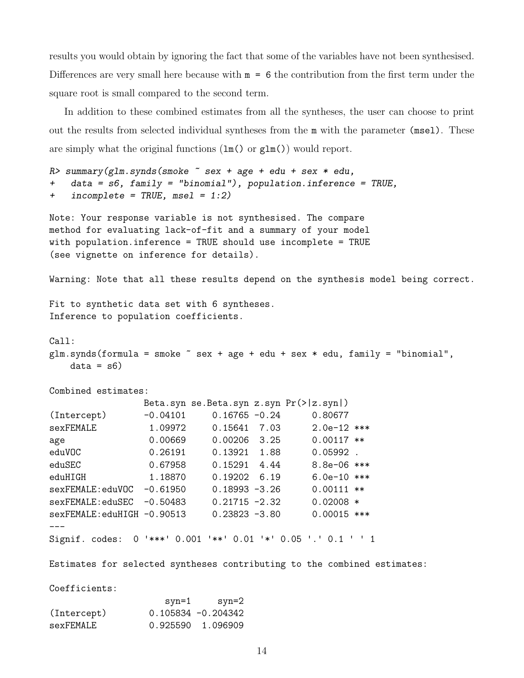results you would obtain by ignoring the fact that some of the variables have not been synthesised. Differences are very small here because with  $m = 6$  the contribution from the first term under the square root is small compared to the second term.

In addition to these combined estimates from all the syntheses, the user can choose to print out the results from selected individual syntheses from the m with the parameter (msel). These are simply what the original functions  $(\text{lm}() \text{ or } \text{glm}() )$  would report.

```
R> summary(glm.synds(smoke \tilde{ } sex + age + edu + sex * edu,
+ data = s6, family = "binomial"), population.inference = TRUE,
+ incomplete = TRUE, msel = 1:2)
```

```
Note: Your response variable is not synthesised. The compare
method for evaluating lack-of-fit and a summary of your model
with population.inference = TRUE should use incomplete = TRUE
(see vignette on inference for details).
```
Warning: Note that all these results depend on the synthesis model being correct.

Fit to synthetic data set with 6 syntheses. Inference to population coefficients.

```
Call:
glm.synds(formula = smoke \texttt{`} sex + age + edu + sex * edu, family = "binomial",data = s6
```
Combined estimates:

|                            |                |                  |      | Beta.syn se.Beta.syn $z \text{.syn Pr}(>  z \text{.syn} )$ |  |
|----------------------------|----------------|------------------|------|------------------------------------------------------------|--|
| (Intercept)                | $-0.04101$     | $0.16765 - 0.24$ |      | 0.80677                                                    |  |
| sexFEMALE                  | 1.09972        | 0.15641          | 7.03 | $2.0e-12$ ***                                              |  |
| age                        | 0.00669        | 0.00206          | 3.25 | $0.00117$ **                                               |  |
| eduVOC                     | 0.26191        | 0.13921          | 1.88 | $0.05992$ .                                                |  |
| eduSEC                     | 0.67958        | 0.15291          | 4.44 | $8.8e-06$ ***                                              |  |
| eduHIGH                    | 1.18870        | 0.19202          | 6.19 | $6.0e-10$ ***                                              |  |
| sexFEMALE:eduVOC           | $-0.61950$     | $0.18993 - 3.26$ |      | $0.00111**$                                                |  |
| sexFEMALE:eduSEC           | $-0.50483$     | $0.21715 - 2.32$ |      | $0.02008 *$                                                |  |
| $sex$ $FEMAI.F: eduHIGH$   | $-0.90513$     | $0.23823 - 3.80$ |      | $0.00015$ ***                                              |  |
|                            |                |                  |      |                                                            |  |
| Signif. codes:<br>$\Omega$ | '***'<br>0.001 | ╹⋇⋇╹<br>0.01     | 「*「  | $0.05$ $\cdot$ $\cdot$ 0.1                                 |  |

Estimates for selected syntheses contributing to the combined estimates:

Coefficients:

|             | syn=1 | syn=2                 |
|-------------|-------|-----------------------|
| (Intercept) |       | $0.105834 - 0.204342$ |
| sexFEMALE   |       | 0.925590 1.096909     |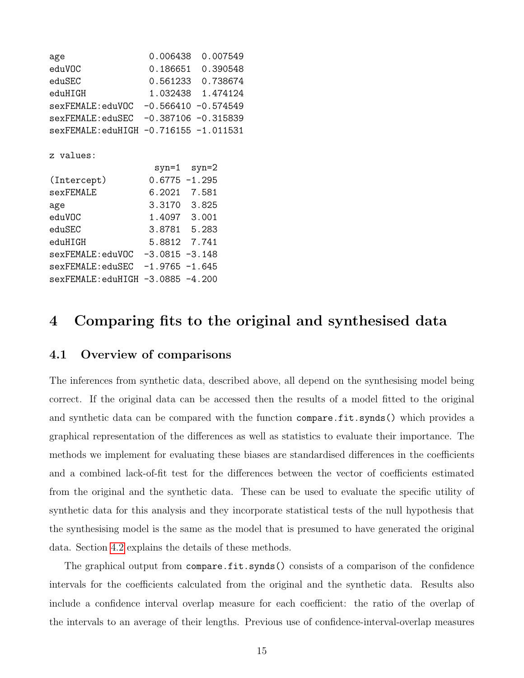| age                                    |                   | 0.006438 0.007549 |
|----------------------------------------|-------------------|-------------------|
| eduVOC                                 | 0.186651 0.390548 |                   |
| eduSEC                                 | 0.561233 0.738674 |                   |
| eduHIGH                                | 1.032438 1.474124 |                   |
| sexFEMALE: eduVOC -0.566410 -0.574549  |                   |                   |
| sexFEMALE: eduSEC -0.387106 -0.315839  |                   |                   |
| sexFEMALE: eduHIGH -0.716155 -1.011531 |                   |                   |
| z values:                              |                   |                   |
|                                        | syn=1 syn=2       |                   |
| (Intercept)                            | $0.6775 - 1.295$  |                   |
| sexFEMALE                              | 6.2021 7.581      |                   |
| age                                    | 3.3170 3.825      |                   |
| eduVOC                                 | 1.4097 3.001      |                   |
| eduSEC                                 | 3.8781 5.283      |                   |
| eduHIGH                                | 5.8812 7.741      |                   |
| sexFEMALE: eduVOC -3.0815 -3.148       |                   |                   |
| sexFEMALE: eduSEC -1.9765 -1.645       |                   |                   |
| sexFEMALE: eduHIGH -3.0885 -4.200      |                   |                   |

### <span id="page-14-0"></span>4 Comparing fits to the original and synthesised data

### 4.1 Overview of comparisons

The inferences from synthetic data, described above, all depend on the synthesising model being correct. If the original data can be accessed then the results of a model fitted to the original and synthetic data can be compared with the function compare.fit.synds() which provides a graphical representation of the differences as well as statistics to evaluate their importance. The methods we implement for evaluating these biases are standardised differences in the coefficients and a combined lack-of-fit test for the differences between the vector of coefficients estimated from the original and the synthetic data. These can be used to evaluate the specific utility of synthetic data for this analysis and they incorporate statistical tests of the null hypothesis that the synthesising model is the same as the model that is presumed to have generated the original data. Section [4.2](#page-15-0) explains the details of these methods.

The graphical output from compare.fit.synds() consists of a comparison of the confidence intervals for the coefficients calculated from the original and the synthetic data. Results also include a confidence interval overlap measure for each coefficient: the ratio of the overlap of the intervals to an average of their lengths. Previous use of confidence-interval-overlap measures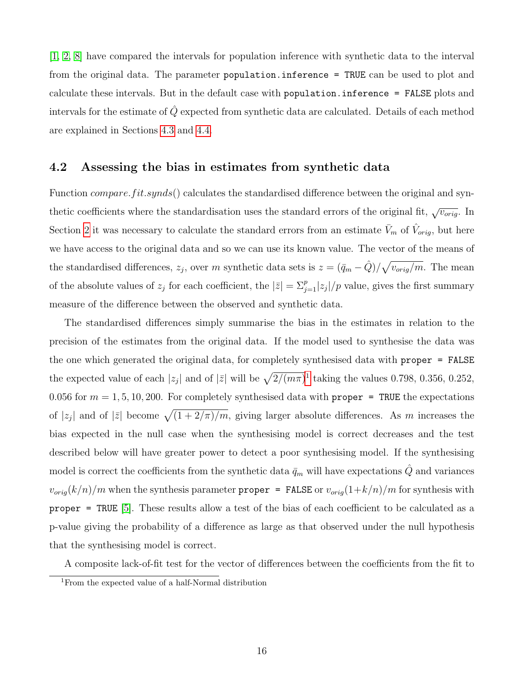[\[1,](#page-26-3) [2,](#page-26-4) [8\]](#page-27-1) have compared the intervals for population inference with synthetic data to the interval from the original data. The parameter population.inference = TRUE can be used to plot and calculate these intervals. But in the default case with population.inference = FALSE plots and intervals for the estimate of  $\hat{Q}$  expected from synthetic data are calculated. Details of each method are explained in Sections [4.3](#page-21-0) and [4.4.](#page-24-0)

#### <span id="page-15-0"></span>4.2 Assessing the bias in estimates from synthetic data

Function *compare.fit.synds*() calculates the standardised difference between the original and synthetic coefficients where the standardisation uses the standard errors of the original fit,  $\sqrt{v_{orig}}$ . In Section [2](#page-3-0) it was necessary to calculate the standard errors from an estimate  $\bar{V}_m$  of  $\hat{V}_{orig}$ , but here we have access to the original data and so we can use its known value. The vector of the means of the standardised differences,  $z_j$ , over m synthetic data sets is  $z = (\bar{q}_m - \hat{Q})/\sqrt{v_{orig}/m}$ . The mean of the absolute values of  $z_j$  for each coefficient, the  $|\bar{z}| = \sum_{j=1}^p |z_j|/p$  value, gives the first summary measure of the difference between the observed and synthetic data.

The standardised differences simply summarise the bias in the estimates in relation to the precision of the estimates from the original data. If the model used to synthesise the data was the one which generated the original data, for completely synthesised data with proper = FALSE the expected value of each  $|z_j|$  and of  $|\bar{z}|$  will be  $\sqrt{2/(m\pi)}$ <sup>[1](#page-15-1)</sup> taking the values 0.798, 0.356, 0.252, 0.056 for  $m = 1, 5, 10, 200$ . For completely synthesised data with proper = TRUE the expectations of  $|z_j|$  and of  $|\bar{z}|$  become  $\sqrt{(1+2/\pi)/m}$ , giving larger absolute differences. As m increases the bias expected in the null case when the synthesising model is correct decreases and the test described below will have greater power to detect a poor synthesising model. If the synthesising model is correct the coefficients from the synthetic data  $\bar{q}_m$  will have expectations  $\hat{Q}$  and variances  $v_{orig}(k/n)/m$  when the synthesis parameter proper = FALSE or  $v_{orig}(1+k/n)/m$  for synthesis with proper = TRUE [\[5\]](#page-26-0). These results allow a test of the bias of each coefficient to be calculated as a p-value giving the probability of a difference as large as that observed under the null hypothesis that the synthesising model is correct.

A composite lack-of-fit test for the vector of differences between the coefficients from the fit to

<span id="page-15-1"></span><sup>1</sup>From the expected value of a half-Normal distribution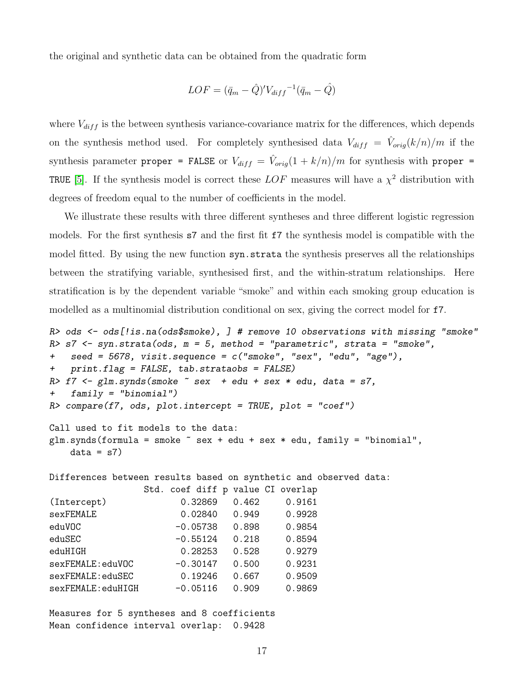the original and synthetic data can be obtained from the quadratic form

$$
LOF = (\bar{q}_m - \hat{Q})'V_{diff}^{-1}(\bar{q}_m - \hat{Q})
$$

where  $V_{diff}$  is the between synthesis variance-covariance matrix for the differences, which depends on the synthesis method used. For completely synthesised data  $V_{diff} = \hat{V}_{orig}(k/n)/m$  if the synthesis parameter proper = FALSE or  $V_{diff} = \hat{V}_{orig}(1 + k/n)/m$  for synthesis with proper = TRUE [\[5\]](#page-26-0). If the synthesis model is correct these  $LOF$  measures will have a  $\chi^2$  distribution with degrees of freedom equal to the number of coefficients in the model.

We illustrate these results with three different syntheses and three different logistic regression models. For the first synthesis s7 and the first fit f7 the synthesis model is compatible with the model fitted. By using the new function syn.strata the synthesis preserves all the relationships between the stratifying variable, synthesised first, and the within-stratum relationships. Here stratification is by the dependent variable "smoke" and within each smoking group education is modelled as a multinomial distribution conditional on sex, giving the correct model for f7.

```
R> ods <- ods[!is.na(ods$smoke), ] # remove 10 observations with missing "smoke"
R> s7 <- syn.strata(ods, m = 5, method = "parametric", strata = "smoke",
+ seed = 5678, visit.sequence = c("smoke", "sex", "edu", "age"),
+ print.flag = FALSE, tab.strataobs = FALSE)
R > f7 <- glm.synds(smoke \tilde{ } sex + edu + sex * edu, data = s7,
+ family = "binomial")
R compare(f7, ods, plot.intercept = TRUE, plot = "coef")
Call used to fit models to the data:
glm.synds(formula = smoke \tilde{ } sex + edu + sex * edu, family = "binomial",
   data = s7Differences between results based on synthetic and observed data:
               Std. coef diff p value CI overlap
(Intercept) 0.32869 0.462 0.9161
sexFEMALE 0.02840 0.949 0.9928
eduVOC -0.05738 0.898 0.9854
eduSEC -0.55124 0.218 0.8594
eduHIGH 0.28253 0.528 0.9279
sexFEMALE:eduVOC -0.30147 0.500 0.9231
sexFEMALE:eduSEC 0.19246 0.667 0.9509
sexFEMALE:eduHIGH -0.05116 0.909 0.9869
```
Measures for 5 syntheses and 8 coefficients Mean confidence interval overlap: 0.9428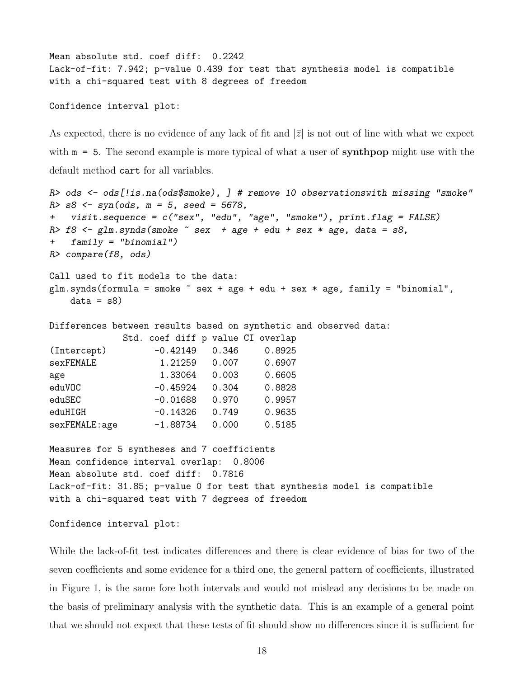```
Mean absolute std. coef diff: 0.2242
Lack-of-fit: 7.942; p-value 0.439 for test that synthesis model is compatible
with a chi-squared test with 8 degrees of freedom
```
Confidence interval plot:

As expected, there is no evidence of any lack of fit and  $|\bar{z}|$  is not out of line with what we expect with  $m = 5$ . The second example is more typical of what a user of **synthpop** might use with the default method cart for all variables.

```
R> ods <- ods[!is.na(ods$smoke), ] # remove 10 observationswith missing "smoke"
R > s8 <- syn(ods, m = 5, seed = 5678,
+ visit.sequence = c("sex", "edu", "age", "smoke"), print.flag = FALSE)
R > 18 <- glm.synds(smoke \tilde{ } sex + age + edu + sex * age, data = s8,
+ family = "binomial")
R> compare(f8, ods)
Call used to fit models to the data:
glm.synds(formula = smoke \texttt{`} sex + age + edu + sex * age, family = "binomial",data = s8Differences between results based on synthetic and observed data:
            Std. coef diff p value CI overlap
(Intercept) -0.42149 0.346 0.8925
sexFEMALE 1.21259 0.007 0.6907
age 1.33064 0.003 0.6605
eduVOC -0.45924 0.304 0.8828
eduSEC -0.01688 0.970 0.9957
eduHIGH -0.14326 0.749 0.9635
sexFEMALE:age -1.88734 0.000 0.5185
Measures for 5 syntheses and 7 coefficients
Mean confidence interval overlap: 0.8006
Mean absolute std. coef diff: 0.7816
Lack-of-fit: 31.85; p-value 0 for test that synthesis model is compatible
with a chi-squared test with 7 degrees of freedom
```
Confidence interval plot:

While the lack-of-fit test indicates differences and there is clear evidence of bias for two of the seven coefficients and some evidence for a third one, the general pattern of coefficients, illustrated in Figure 1, is the same fore both intervals and would not mislead any decisions to be made on the basis of preliminary analysis with the synthetic data. This is an example of a general point that we should not expect that these tests of fit should show no differences since it is sufficient for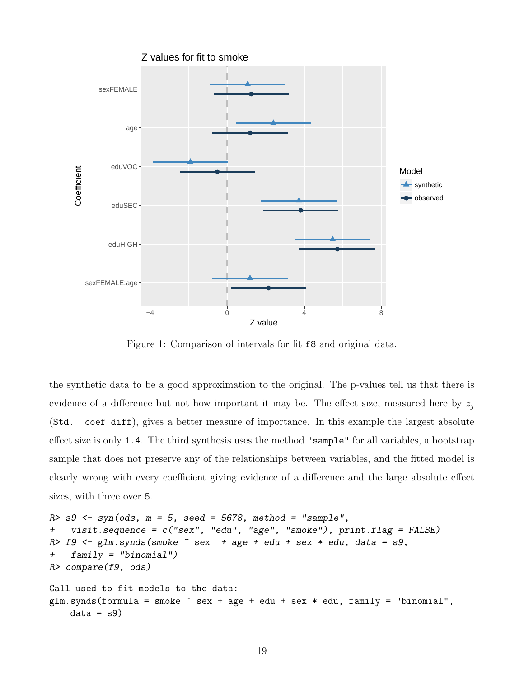

Figure 1: Comparison of intervals for fit f8 and original data.

the synthetic data to be a good approximation to the original. The p-values tell us that there is evidence of a difference but not how important it may be. The effect size, measured here by  $z_i$ (Std. coef diff), gives a better measure of importance. In this example the largest absolute effect size is only 1.4. The third synthesis uses the method "sample" for all variables, a bootstrap sample that does not preserve any of the relationships between variables, and the fitted model is clearly wrong with every coefficient giving evidence of a difference and the large absolute effect sizes, with three over 5.

```
R > s9 <- syn(ods, m = 5, seed = 5678, method = "sample",
+ visit.sequence = c("sex", "edu", "age", "smoke"), print.flag = FALSE)
R > 19 <- glm.synds(smoke \degree sex + age + edu + sex * edu, data = s9,
+ family = "binomial")
R> compare(f9, ods)
Call used to fit models to the data:
glm.synds(formula = smoke \tilde{\phantom{a}} sex + age + edu + sex * edu, family = "binomial",
    data = s9
```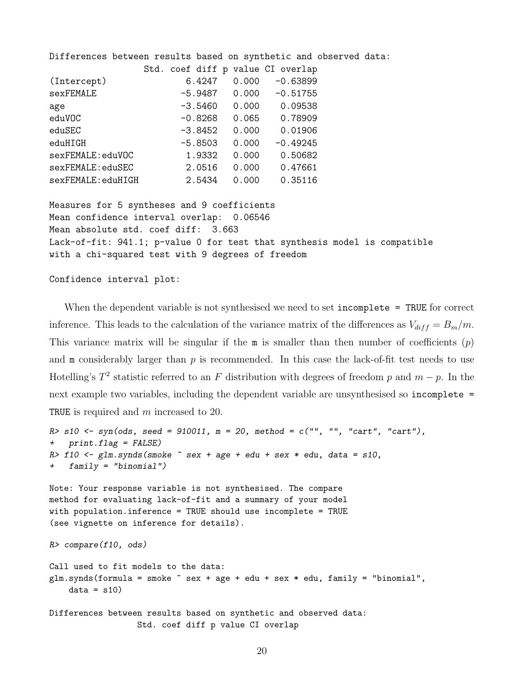| Differences between results based on synthetic and observed data: |                                   |       |                            |  |
|-------------------------------------------------------------------|-----------------------------------|-------|----------------------------|--|
|                                                                   | Std. coef diff p value CI overlap |       |                            |  |
| (Intercept)                                                       | 6.4247                            |       | $0.000 - 0.63899$          |  |
| sexFEMALE                                                         |                                   |       | $-5.9487$ 0.000 $-0.51755$ |  |
| age                                                               |                                   |       | $-3.5460$ 0.000 0.09538    |  |
| eduVOC                                                            | -0.8268                           |       | $0.065$ 0.78909            |  |
| eduSEC                                                            | -3.8452                           | 0.000 | 0.01906                    |  |
| eduHIGH                                                           | -5.8503                           | 0.000 | $-0.49245$                 |  |
| sexFEMALE:eduVOC                                                  | 1.9332                            | 0.000 | 0.50682                    |  |
| sexFEMALE:eduSEC                                                  | 2.0516                            | 0.000 | 0.47661                    |  |
| sexFEMALE:eduHIGH                                                 | 2.5434                            | 0.000 | 0.35116                    |  |
|                                                                   |                                   |       |                            |  |
| Measures for 5 syntheses and 9 coefficients                       |                                   |       |                            |  |

Mean confidence interval overlap: 0.06546 Mean absolute std. coef diff: 3.663 Lack-of-fit: 941.1; p-value 0 for test that synthesis model is compatible with a chi-squared test with 9 degrees of freedom

Confidence interval plot:

When the dependent variable is not synthesised we need to set incomplete = TRUE for correct inference. This leads to the calculation of the variance matrix of the differences as  $V_{diff} = B_m/m$ . This variance matrix will be singular if the  $m$  is smaller than then number of coefficients  $(p)$ and  $m$  considerably larger than  $p$  is recommended. In this case the lack-of-fit test needs to use Hotelling's  $T^2$  statistic referred to an F distribution with degrees of freedom p and  $m - p$ . In the next example two variables, including the dependent variable are unsynthesised so incomplete = TRUE is required and m increased to 20.

```
R > s10 <- syn(ods, seed = 910011, m = 20, method = c("", "", "cart", "cart"),
+ print.flag = FALSE)
R> f10 \leftarrow glm.synds(smoke \tilde{ } sex + age + edu + sex * edu, data = s10,
+ family = "binomial")
Note: Your response variable is not synthesised. The compare
method for evaluating lack-of-fit and a summary of your model
with population.inference = TRUE should use incomplete = TRUE
(see vignette on inference for details).
R> compare(f10, ods)
Call used to fit models to the data:
glm.synds(formula = smoke \texttt{m} + age + edu + sex * edu, family = "binomial",data = s10Differences between results based on synthetic and observed data:
```
Std. coef diff p value CI overlap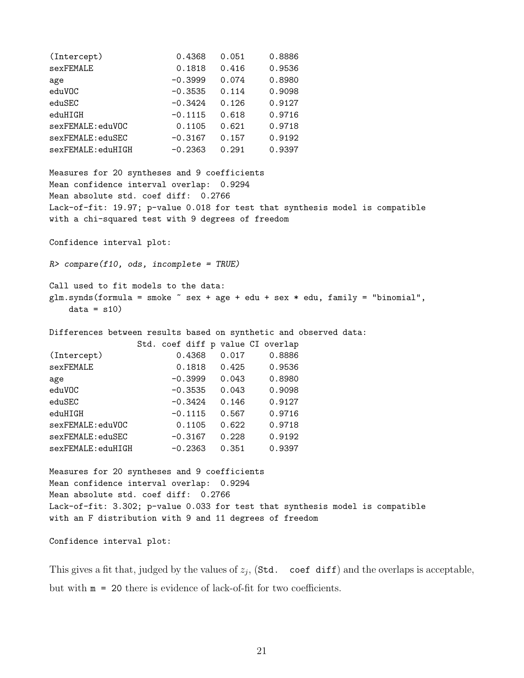| (Intercept)       | 0.4368    | 0.051 | 0.8886 |
|-------------------|-----------|-------|--------|
| sexFEMALE         | 0.1818    | 0.416 | 0.9536 |
| age               | $-0.3999$ | 0.074 | 0.8980 |
| eduVOC            | $-0.3535$ | 0.114 | 0.9098 |
| eduSEC            | $-0.3424$ | 0.126 | 0.9127 |
| eduHIGH           | $-0.1115$ | 0.618 | 0.9716 |
| sexFEMALE:eduVOC  | 0.1105    | 0.621 | 0.9718 |
| sexFEMALE:eduSEC  | $-0.3167$ | 0.157 | 0.9192 |
| sexFEMALE:eduHIGH | $-0.2363$ | 0.291 | 0.9397 |
|                   |           |       |        |

Measures for 20 syntheses and 9 coefficients Mean confidence interval overlap: 0.9294 Mean absolute std. coef diff: 0.2766 Lack-of-fit: 19.97; p-value 0.018 for test that synthesis model is compatible with a chi-squared test with 9 degrees of freedom

Confidence interval plot:

 $R$ > compare(f10, ods, incomplete = TRUE)

Call used to fit models to the data:  $glm.synds(formula = smoke \texttt{`}$  sex + age + edu + sex \* edu, family = "binomial",  $data = s10$ 

Differences between results based on synthetic and observed data:

|                   |  |           |       | Std. coef diff p value CI overlap |  |
|-------------------|--|-----------|-------|-----------------------------------|--|
| (Intercept)       |  | 0.4368    | 0.017 | 0.8886                            |  |
| sexFEMALE         |  | 0.1818    | 0.425 | 0.9536                            |  |
| age               |  | $-0.3999$ | 0.043 | 0.8980                            |  |
| eduVOC            |  | $-0.3535$ | 0.043 | 0.9098                            |  |
| eduSEC            |  | $-0.3424$ | 0.146 | 0.9127                            |  |
| eduHIGH           |  | $-0.1115$ | 0.567 | 0.9716                            |  |
| sexFEMALE:eduVOC  |  | 0.1105    | 0.622 | 0.9718                            |  |
| sexFEMALE:eduSEC  |  | $-0.3167$ | 0.228 | 0.9192                            |  |
| sexFEMALE:eduHIGH |  | $-0.2363$ | 0.351 | 0.9397                            |  |

Measures for 20 syntheses and 9 coefficients Mean confidence interval overlap: 0.9294 Mean absolute std. coef diff: 0.2766 Lack-of-fit: 3.302; p-value 0.033 for test that synthesis model is compatible with an F distribution with 9 and 11 degrees of freedom

Confidence interval plot:

This gives a fit that, judged by the values of  $z_j$ , (Std. coef diff) and the overlaps is acceptable, but with m = 20 there is evidence of lack-of-fit for two coefficients.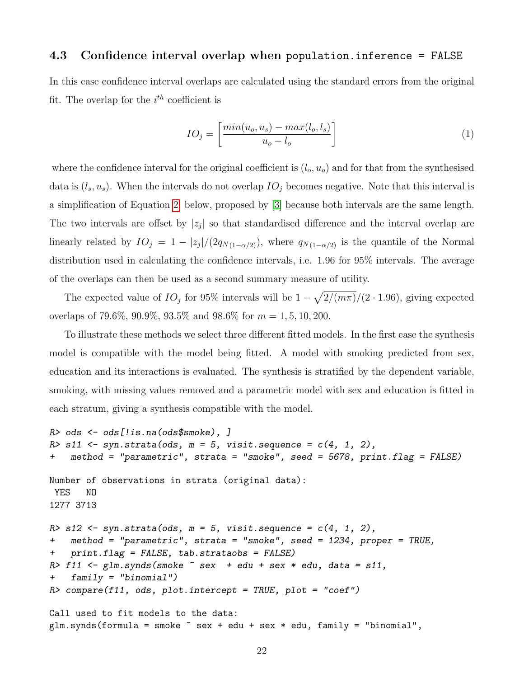#### <span id="page-21-0"></span>4.3 Confidence interval overlap when population.inference = FALSE

In this case confidence interval overlaps are calculated using the standard errors from the original fit. The overlap for the  $i^{th}$  coefficient is

$$
IO_j = \left[\frac{\min(u_o, u_s) - \max(l_o, l_s)}{u_o - l_o}\right] \tag{1}
$$

where the confidence interval for the original coefficient is  $(l_o, u_o)$  and for that from the synthesised data is  $(l_s, u_s)$ . When the intervals do not overlap  $IO_j$  becomes negative. Note that this interval is a simplification of Equation [2,](#page-24-1) below, proposed by [\[3\]](#page-26-5) because both intervals are the same length. The two intervals are offset by  $|z_j|$  so that standardised difference and the interval overlap are linearly related by  $IO_j = 1 - |z_j|/(2q_{N(1-\alpha/2)})$ , where  $q_{N(1-\alpha/2)}$  is the quantile of the Normal distribution used in calculating the confidence intervals, i.e. 1.96 for 95% intervals. The average of the overlaps can then be used as a second summary measure of utility.

The expected value of  $IO_j$  for 95% intervals will be  $1 - \sqrt{2/(m\pi)}/(2 \cdot 1.96)$ , giving expected overlaps of 79.6%, 90.9%, 93.5% and 98.6% for  $m = 1, 5, 10, 200$ .

To illustrate these methods we select three different fitted models. In the first case the synthesis model is compatible with the model being fitted. A model with smoking predicted from sex, education and its interactions is evaluated. The synthesis is stratified by the dependent variable, smoking, with missing values removed and a parametric model with sex and education is fitted in each stratum, giving a synthesis compatible with the model.

```
R> ods <- ods[!is.na(ods$smoke), ]
R > s11 <- syn.strata(ods, m = 5, visit.sequence = c(4, 1, 2),
+ method = "parametric", strata = "smoke", seed = 5678, print.flag = FALSE)
Number of observations in strata (original data):
YES NO
1277 3713
R> s12 <- syn.strata(ods, m = 5, visit.sequence = c(4, 1, 2),
+ method = "parametric", strata = "smoke", seed = 1234, proper = TRUE,
+ print.flag = FALSE, tab.strataobs = FALSE)
R> f11 <- glm.synds(smoke \tilde{ } sex + edu + sex * edu, data = s11,
+ family = "binomial")
R> compare(f11, ods, plot.intercept = TRUE, plot = "coef")
Call used to fit models to the data:
glm.synds(formula = smoke \text{ }^{\sim} sex + edu + sex * edu, family = "binomial",
```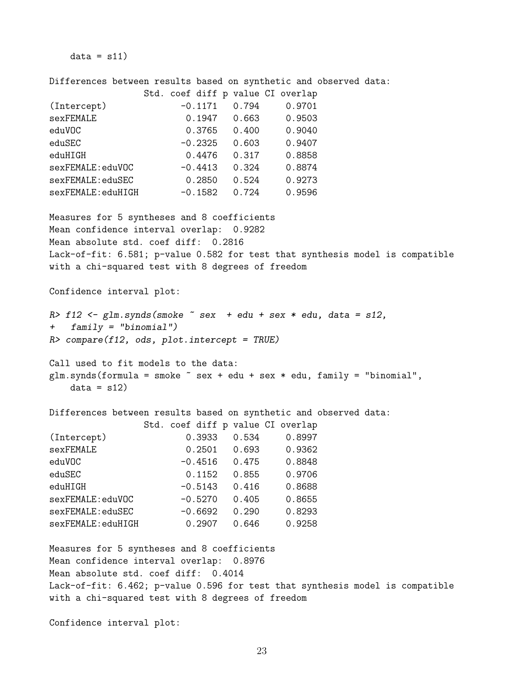$data = s11)$ 

Differences between results based on synthetic and observed data:

|                                                                                                                                                                                                                                                                                                                  | Std. coef diff p value CI overlap |       |                           |  |
|------------------------------------------------------------------------------------------------------------------------------------------------------------------------------------------------------------------------------------------------------------------------------------------------------------------|-----------------------------------|-------|---------------------------|--|
| (Intercept)                                                                                                                                                                                                                                                                                                      | $-0.1171$ 0.794                   |       | 0.9701                    |  |
| sexFEMALE                                                                                                                                                                                                                                                                                                        |                                   |       | $0.1947$ $0.663$ $0.9503$ |  |
| eduVOC                                                                                                                                                                                                                                                                                                           | 0.3765 0.400 0.9040               |       |                           |  |
| eduSEC                                                                                                                                                                                                                                                                                                           |                                   |       | $-0.2325$ 0.603 0.9407    |  |
| eduHIGH                                                                                                                                                                                                                                                                                                          | 0.4476  0.317  0.8858             |       |                           |  |
| sexFEMALE:eduVOC -0.4413 0.324 0.8874                                                                                                                                                                                                                                                                            |                                   |       |                           |  |
| sexFEMALE:eduSEC 0.2850 0.524 0.9273                                                                                                                                                                                                                                                                             |                                   |       |                           |  |
| sexFEMALE:eduHIGH -0.1582 0.724 0.9596                                                                                                                                                                                                                                                                           |                                   |       |                           |  |
| Measures for 5 syntheses and 8 coefficients                                                                                                                                                                                                                                                                      |                                   |       |                           |  |
| Mean confidence interval overlap: 0.9282                                                                                                                                                                                                                                                                         |                                   |       |                           |  |
| Mean absolute std. coef diff: 0.2816                                                                                                                                                                                                                                                                             |                                   |       |                           |  |
| Lack-of-fit: 6.581; p-value 0.582 for test that synthesis model is compatible                                                                                                                                                                                                                                    |                                   |       |                           |  |
| with a chi-squared test with 8 degrees of freedom                                                                                                                                                                                                                                                                |                                   |       |                           |  |
| Confidence interval plot:                                                                                                                                                                                                                                                                                        |                                   |       |                           |  |
| $R$ > f12 <- glm.synds(smoke $\tilde{ }$ sex + edu + sex * edu, data = s12,<br>$family = "binomial")$<br>$+$ $-$<br>$R$ > compare(f12, ods, plot.intercept = TRUE)<br>Call used to fit models to the data:<br>glm.synds(formula = smoke $\tilde{ }$ sex + edu + sex * edu, family = "binomial",<br>$data = s12)$ |                                   |       |                           |  |
|                                                                                                                                                                                                                                                                                                                  |                                   |       |                           |  |
| Differences between results based on synthetic and observed data:                                                                                                                                                                                                                                                |                                   |       |                           |  |
|                                                                                                                                                                                                                                                                                                                  | Std. coef diff p value CI overlap |       |                           |  |
| (Intercept)                                                                                                                                                                                                                                                                                                      |                                   |       | $0.3933$ $0.534$ 0.8997   |  |
| sexFEMALE                                                                                                                                                                                                                                                                                                        |                                   |       | $0.2501$ 0.693 0.9362     |  |
| eduVOC                                                                                                                                                                                                                                                                                                           |                                   |       | $-0.4516$ 0.475 0.8848    |  |
| eduSEC                                                                                                                                                                                                                                                                                                           | $0.1152$ 0.855                    |       | 0.9706                    |  |
| eduHIGH                                                                                                                                                                                                                                                                                                          | $-0.5143$                         | 0.416 | 0.8688                    |  |
| sexFEMALE:eduVOC                                                                                                                                                                                                                                                                                                 | $-0.5270$ 0.405                   |       | 0.8655                    |  |
| sexFEMALE:eduSEC                                                                                                                                                                                                                                                                                                 | $-0.6692$ 0.290                   |       | 0.8293                    |  |
| sexFEMALE:eduHIGH                                                                                                                                                                                                                                                                                                | $0.2907$ 0.646                    |       | 0.9258                    |  |
| Measures for 5 syntheses and 8 coefficients<br>Mean confidence interval overlap: 0.8976<br>Mean absolute std. coef diff: 0.4014<br>Lack-of-fit: 6.462; p-value 0.596 for test that synthesis model is compatible<br>with a chi-squared test with 8 degrees of freedom                                            |                                   |       |                           |  |

Confidence interval plot: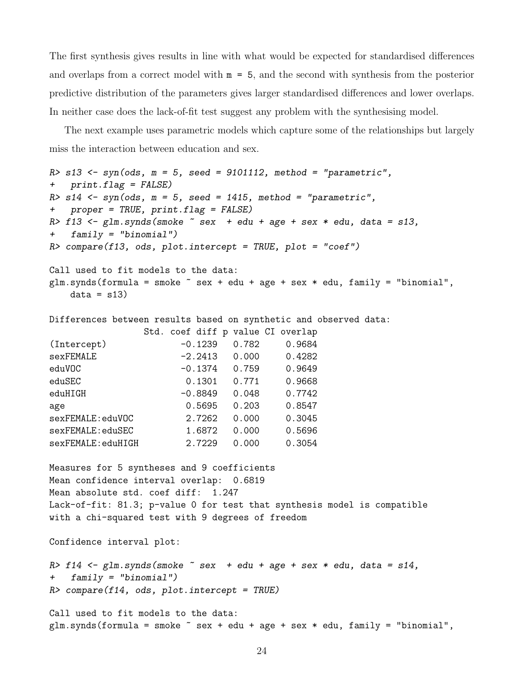The first synthesis gives results in line with what would be expected for standardised differences and overlaps from a correct model with  $m = 5$ , and the second with synthesis from the posterior predictive distribution of the parameters gives larger standardised differences and lower overlaps. In neither case does the lack-of-fit test suggest any problem with the synthesising model.

The next example uses parametric models which capture some of the relationships but largely miss the interaction between education and sex.

```
R> s13 <- syn(ods, m = 5, seed = 9101112, method = "parametric",
+ print.flag = FALSE)
R > s14 <- syn(ods, m = 5, seed = 1415, method = "parametric",
+ proper = TRUE, print.flag = FALSE)
R> f13 <- glm.synds(smoke \tilde{ } sex + edu + age + sex * edu, data = s13,
+ family = "binomial")
R> compare(f13, ods, plot.intercept = TRUE, plot = "coef")
Call used to fit models to the data:
glm.synds(formula = smoke \texttt{`} sex + edu + age + sex * edu, family = "binomial",
    data = s13)
```
Differences between results based on synthetic and observed data:

|                    |  |           |       | Std. coef diff p value CI overlap |
|--------------------|--|-----------|-------|-----------------------------------|
| (Intercept)        |  | $-0.1239$ | 0.782 | 0.9684                            |
| sexFEMALE          |  | $-2.2413$ | 0.000 | 0.4282                            |
| eduVOC             |  | $-0.1374$ | 0.759 | 0.9649                            |
| eduSEC             |  | 0.1301    | 0.771 | 0.9668                            |
| eduHIGH            |  | $-0.8849$ | 0.048 | 0.7742                            |
| age                |  | 0.5695    | 0.203 | 0.8547                            |
| sexFEMALE:eduVOC   |  | 2.7262    | 0.000 | 0.3045                            |
| sexFEMALE: eduSEC  |  | 1.6872    | 0.000 | 0.5696                            |
| sexFEMALE: eduHIGH |  | 2.7229    | 0.000 | 0.3054                            |

Measures for 5 syntheses and 9 coefficients Mean confidence interval overlap: 0.6819 Mean absolute std. coef diff: 1.247 Lack-of-fit: 81.3; p-value 0 for test that synthesis model is compatible with a chi-squared test with 9 degrees of freedom

Confidence interval plot:

R> f14 <- glm.synds(smoke  $\tilde{ }$  sex + edu + age + sex \* edu, data = s14, + family = "binomial")  $R$ > compare(f14, ods, plot.intercept = TRUE)

Call used to fit models to the data: glm.synds(formula = smoke  $\tilde{ }$  sex + edu + age + sex \* edu, family = "binomial",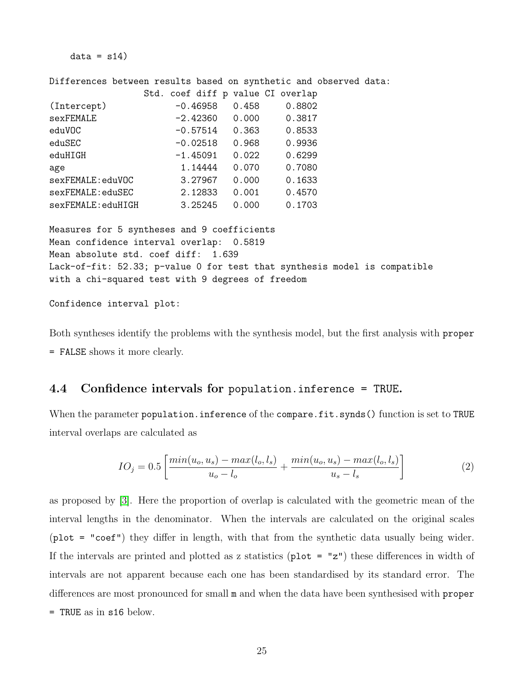$data = s14$ 

Differences between results based on synthetic and observed data:

|                   |            |       | Std. coef diff p value CI overlap |
|-------------------|------------|-------|-----------------------------------|
| (Intercept)       | $-0.46958$ | 0.458 | 0.8802                            |
| sexFEMALE         | $-2.42360$ | 0.000 | 0.3817                            |
| eduVOC            | $-0.57514$ | 0.363 | 0.8533                            |
| eduSEC            | $-0.02518$ | 0.968 | 0.9936                            |
| eduHIGH           | $-1.45091$ | 0.022 | 0.6299                            |
| age               | 1.14444    | 0.070 | 0.7080                            |
| sexFEMALE:eduVOC  | 3.27967    | 0.000 | 0.1633                            |
| sexFEMALE: eduSEC | 2.12833    | 0.001 | 0.4570                            |
| sexFEMALE:eduHIGH | 3.25245    | 0.000 | 0.1703                            |
|                   |            |       |                                   |

Measures for 5 syntheses and 9 coefficients Mean confidence interval overlap: 0.5819 Mean absolute std. coef diff: 1.639 Lack-of-fit: 52.33; p-value 0 for test that synthesis model is compatible with a chi-squared test with 9 degrees of freedom

Confidence interval plot:

Both syntheses identify the problems with the synthesis model, but the first analysis with proper = FALSE shows it more clearly.

### <span id="page-24-0"></span>4.4 Confidence intervals for population.inference = TRUE.

When the parameter population.inference of the compare.fit.synds() function is set to TRUE interval overlaps are calculated as

<span id="page-24-1"></span>
$$
IO_j = 0.5 \left[ \frac{\min(u_o, u_s) - \max(l_o, l_s)}{u_o - l_o} + \frac{\min(u_o, u_s) - \max(l_o, l_s)}{u_s - l_s} \right]
$$
(2)

as proposed by [\[3\]](#page-26-5). Here the proportion of overlap is calculated with the geometric mean of the interval lengths in the denominator. When the intervals are calculated on the original scales (plot = "coef") they differ in length, with that from the synthetic data usually being wider. If the intervals are printed and plotted as z statistics ( $plot = "z")$  these differences in width of intervals are not apparent because each one has been standardised by its standard error. The differences are most pronounced for small m and when the data have been synthesised with proper = TRUE as in s16 below.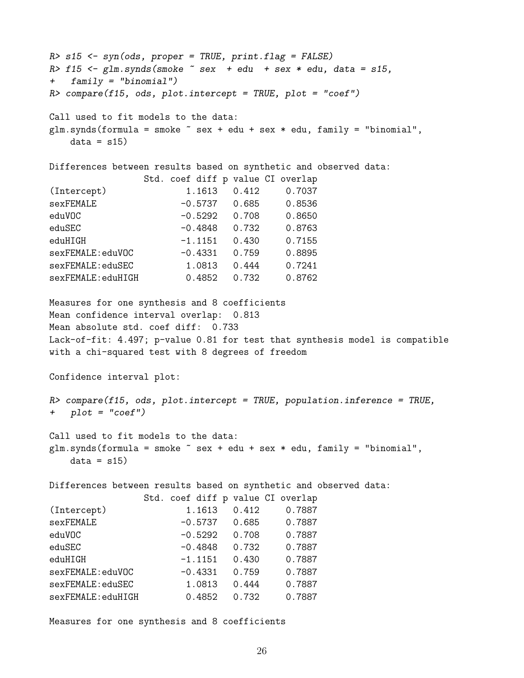```
R> s15 <- syn(ods, proper = TRUE, print.flag = FALSE)
R> f15 \leq glm.synds(smoke \tilde{ } sex + edu + sex * edu, data = s15,
+ family = "binomial")
R compare(f15, ods, plot.intercept = TRUE, plot = "coef")
Call used to fit models to the data:
glm.synds(formula = smoke \tilde{ } sex + edu + sex * edu, family = "binomial",
   data = s15Differences between results based on synthetic and observed data:
               Std. coef diff p value CI overlap
(Intercept) 1.1613 0.412 0.7037
sexFEMALE -0.5737 0.685 0.8536
eduVOC -0.5292 0.708 0.8650
eduSEC -0.4848 0.732 0.8763
eduHIGH -1.1151 0.430 0.7155
sexFEMALE:eduVOC -0.4331 0.759 0.8895
sexFEMALE:eduSEC 1.0813 0.444 0.7241
sexFEMALE:eduHIGH 0.4852 0.732 0.8762
Measures for one synthesis and 8 coefficients
Mean confidence interval overlap: 0.813
Mean absolute std. coef diff: 0.733
Lack-of-fit: 4.497; p-value 0.81 for test that synthesis model is compatible
with a chi-squared test with 8 degrees of freedom
Confidence interval plot:
R> compare(f15, ods, plot.intercept = TRUE, population.inference = TRUE,
+ plot = "coef")
Call used to fit models to the data:
glm.synds(formula = smoke \texttt{m} + sdu + sex * edu, family = "binomial",data = s15Differences between results based on synthetic and observed data:
               Std. coef diff p value CI overlap
(Intercept) 1.1613 0.412 0.7887
sexFEMALE -0.5737 0.685 0.7887
eduVOC -0.5292 0.708 0.7887
eduSEC -0.4848 0.732 0.7887
eduHIGH -1.1151 0.430 0.7887
sexFEMALE:eduVOC -0.4331 0.759 0.7887
sexFEMALE:eduSEC 1.0813 0.444 0.7887
sexFEMALE:eduHIGH 0.4852 0.732 0.7887
```
Measures for one synthesis and 8 coefficients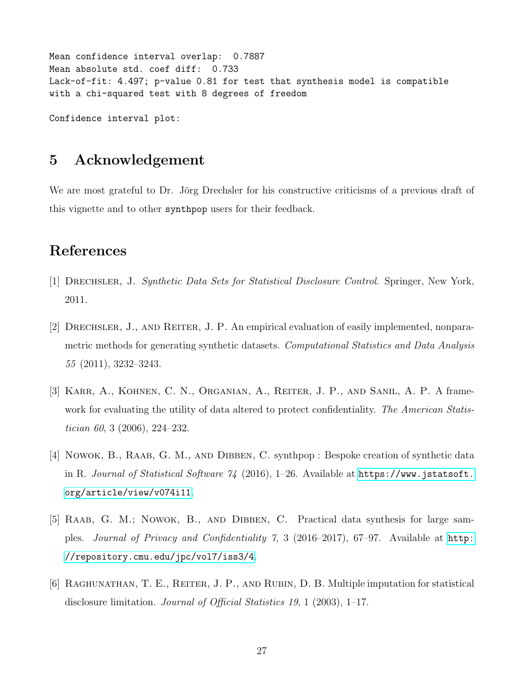```
Mean confidence interval overlap: 0.7887
Mean absolute std. coef diff: 0.733
Lack-of-fit: 4.497; p-value 0.81 for test that synthesis model is compatible
with a chi-squared test with 8 degrees of freedom
```
Confidence interval plot:

### 5 Acknowledgement

We are most grateful to Dr. Jörg Drechsler for his constructive criticisms of a previous draft of this vignette and to other synthpop users for their feedback.

# References

- <span id="page-26-3"></span>[1] Drechsler, J. Synthetic Data Sets for Statistical Disclosure Control. Springer, New York, 2011.
- <span id="page-26-4"></span>[2] Drechsler, J., and Reiter, J. P. An empirical evaluation of easily implemented, nonparametric methods for generating synthetic datasets. Computational Statistics and Data Analysis 55 (2011), 3232–3243.
- <span id="page-26-5"></span>[3] Karr, A., Kohnen, C. N., Organian, A., Reiter, J. P., and Sanil, A. P. A framework for evaluating the utility of data altered to protect confidentiality. The American Statistician 60, 3 (2006), 224–232.
- <span id="page-26-2"></span>[4] NOWOK, B., RAAB, G. M., AND DIBBEN, C. synthpop : Bespoke creation of synthetic data in R. Journal of Statistical Software  $\frac{\gamma}{4}$  (2016), 1–26. Available at [https://www.jstatsoft.](https://www.jstatsoft.org/article/view/v074i11) [org/article/view/v074i11](https://www.jstatsoft.org/article/view/v074i11).
- <span id="page-26-0"></span>[5] RAAB, G. M.; NOWOK, B., AND DIBBEN, C. Practical data synthesis for large samples. Journal of Privacy and Confidentiality 7, 3 (2016–2017), 67–97. Available at [http:](http://repository.cmu.edu/jpc/vol7/iss3/4) [//repository.cmu.edu/jpc/vol7/iss3/4](http://repository.cmu.edu/jpc/vol7/iss3/4).
- <span id="page-26-1"></span>[6] RAGHUNATHAN, T. E., REITER, J. P., AND RUBIN, D. B. Multiple imputation for statistical disclosure limitation. Journal of Official Statistics 19, 1 (2003), 1–17.